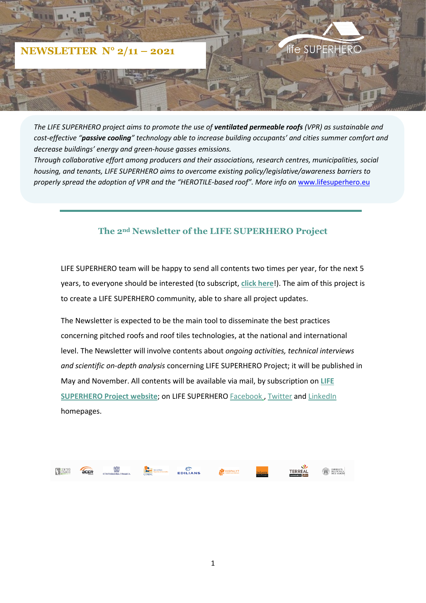

*The LIFE SUPERHERO project aims to promote the use of ventilated permeable roofs (VPR) as sustainable and cost-effective "passive cooling" technology able to increase building occupants' and cities summer comfort and decrease buildings' energy and green-house gasses emissions.*

*Through collaborative effort among producers and their associations, research centres, municipalities, social housing, and tenants, LIFE SUPERHERO aims to overcome existing policy/legislative/awareness barriers to properly spread the adoption of VPR and the "HEROTILE-based roof". More info on* [www.lifesuperhero.eu](http://www.lifesuperhero.eu/)

## **The 2nd Newsletter of the LIFE SUPERHERO Project**

LIFE SUPERHERO team will be happy to send all contents two times per year, for the next 5 years, to everyone should be interested (to subscript, **[click here](https://www.lifesuperhero.eu/newsletter/)**!). The aim of this project is to create a LIFE SUPERHERO community, able to share all project updates.

The Newsletter is expected to be the main tool to disseminate the best practices concerning pitched roofs and roof tiles technologies, at the national and international level. The Newsletter will involve contents about *ongoing activities, technical interviews and scientific on-depth analysis* concerning LIFE SUPERHERO Project; it will be published in May and November. All contents will be available via mail, by subscription on **[LIFE](https://www.lifesuperhero.eu/newsletter/)  SUPERHERO [Project website](https://www.lifesuperhero.eu/newsletter/)**; on LIFE SUPERHERO [Facebook](https://www.facebook.com/lifesuperhero) , [Twitter](https://twitter.com/LifeHerotile) and [LinkedIn](https://www.linkedin.com/company/life-herotile) homepages.

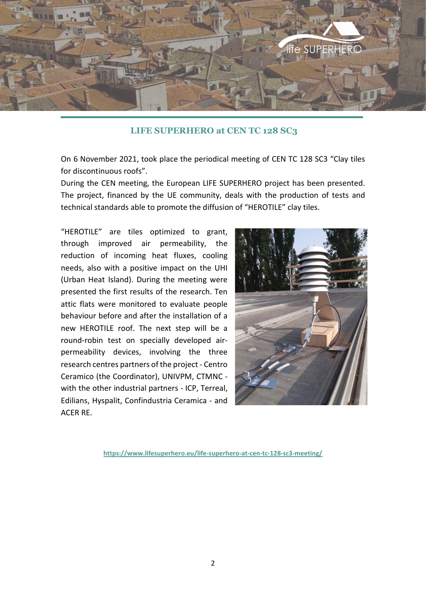

## **[LIFE SUPERHERO](https://context.reverso.net/traduzione/inglese-italiano/Go+to+official+web+site) at CEN TC 128 SC3**

On 6 November 2021, took place the periodical meeting of CEN TC 128 SC3 "Clay tiles for discontinuous roofs".

During the CEN meeting, the European LIFE SUPERHERO project has been presented. The project, financed by the UE community, deals with the production of tests and technical standards able to promote the diffusion of "HEROTILE" clay tiles.

"HEROTILE" are tiles optimized to grant, through improved air permeability, the reduction of incoming heat fluxes, cooling needs, also with a positive impact on the UHI (Urban Heat Island). During the meeting were presented the first results of the research. Ten attic flats were monitored to evaluate people behaviour before and after the installation of a new HEROTILE roof. The next step will be a round-robin test on specially developed airpermeability devices, involving the three research centres partners of the project - Centro Ceramico (the Coordinator), UNIVPM, CTMNC with the other industrial partners - ICP, Terreal, Edilians, Hyspalit, Confindustria Ceramica - and ACER RE.



**https://www.lifesuperhero.eu/life-superhero-at-cen-tc-128-sc3-meeting/**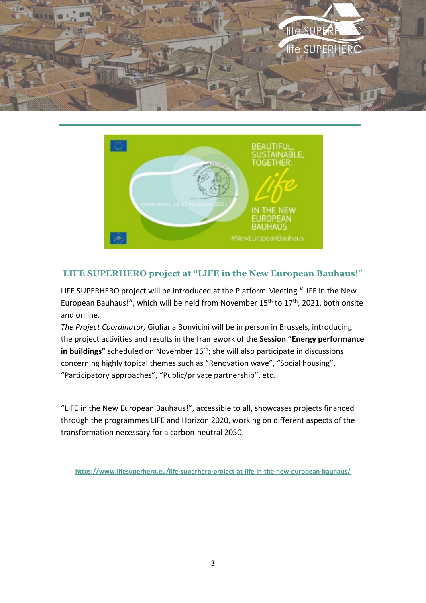



## **LIFE SUPERHERO project at "LIFE in the New European Bauhaus!"**

LIFE SUPERHERO project will be introduced at the Platform Meeting **"**[LIFE in the New](https://bauhaus-life-event.b2match.io/)  [European Bauhaus!](https://bauhaus-life-event.b2match.io/)**"**, which will be held from November 15th to 17th, 2021, both onsite and online.

*The Project Coordinator,* Giuliana Bonvicini will be in person in Brussels, introducing the project activities and results in the framework of the **Session "Energy performance in buildings**" scheduled on November 16<sup>th</sup>; she will also participate in discussions concerning highly topical themes such as "Renovation wave", "Social housing", "Participatory approaches", "Public/private partnership", etc.

"LIFE in the New European Bauhaus!", accessible to all, showcases projects financed through the programmes [LIFE](https://cinea.ec.europa.eu/life_en) and [Horizon 2020,](https://ec.europa.eu/programmes/horizon2020/en/home) working on different aspects of the transformation necessary for a carbon-neutral 2050.

**<https://www.lifesuperhero.eu/life-superhero-project-at-life-in-the-new-european-bauhaus/>**